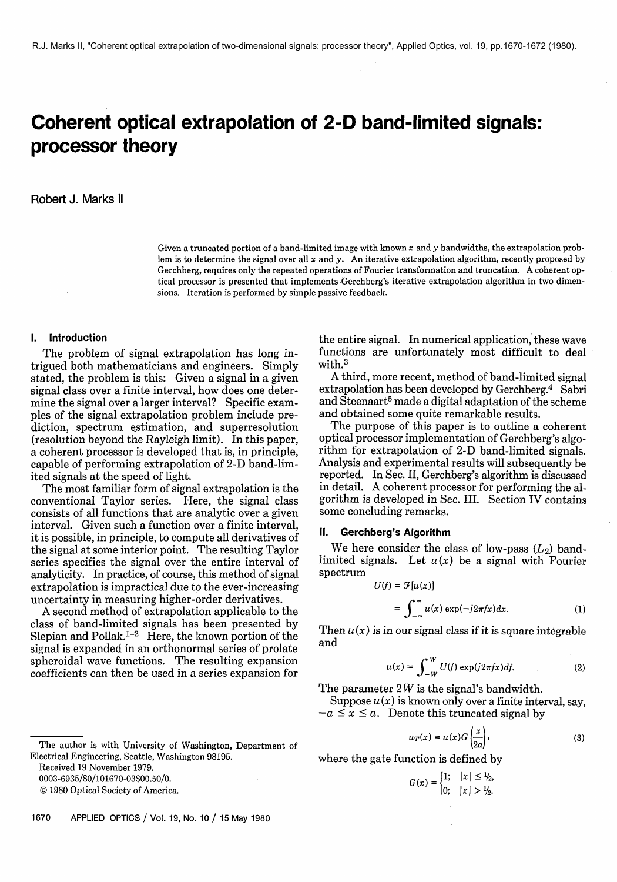# **Coherent optical extrapolation of 2-D band-limited signals: processor theory**

### Robert J. Marks II

Given a truncated portion of a band-limited image with known *x* and y bandwidths, the extrapolation problem is to determine the signal over all *x* and y. An iterative extrapolation algorithm, recently proposed by Gerchberg, requires only the repeated operations of Fourier transformation and truncation. A coherent optical processor is presented that implements Gerchberg's iterative extrapolation algorithm in two dimensions. Iteration is performed by simple passive feedback.

#### **I. Introduction**

The problem of signal extrapolation has long intrigued both mathematicians and engineers. Simply stated, the problem is this: Given a signal in a given signal class over a finite interval, how does one determine the signal over a larger interval? Specific examples of the signal extrapolation problem include prediction, spectrum estimation, and superresolution (resolution beyond the Rayleigh limit). In this paper, a coherent processor is developed that is, in principle, capable of performing extrapolation of 2-D band-limited signals at the speed of light,

The most familiar form of signal extrapolation is the conventional Taylor series. Here, the signal class consists of all functions that are analytic over a given interval. Given such a function over a finite interval, it is possible, in principle, to compute all derivatives of the signal at some interior point. The resulting Taylor series specifies the signal over the entire interval of analyticity. In practice, of course, this method of signal extrapolation is impractical due to the ever-increasing uncertainty in measuring higher-order derivatives.

**A** second method of extrapolation applicable to the class of band-limited signals has been presented by Slepian and Pollak.<sup>1-2</sup> Here, the known portion of the signal is expanded in an orthonormal series of prolate spheroidal wave functions. The resulting expansion coefficients can then be used in a series expansion for

0003-6935/80/101670-03\$00.50/0.<br>© 1980 Optical Society of America.

the entire signal. In numerical application, these wave functions are unfortunately most difficult to deal with. $3$ 

**A** third, more recent, method of band-limited signal extrapolation has been developed by Gerchberg.<sup>4</sup> Sabri and Steenaart<sup>5</sup> made a digital adaptation of the scheme and obtained some quite remarkable results.

The purpose of this paper is to outline a coherent optical processor implementation of Gerchberg's algorithm for extrapolation of 2-D band-limited signals. Analysis and experimental results will subsequently be reported. In Sec. 11, Gerchberg's algorithm is discussed in detail. **A** coherent processor for performing the algorithm is developed in Sec. 111. Section IV contains some concluding remarks.

## **II. Gerchberg's Algorithm**

We here consider the class of low-pass  $(L_2)$  bandlimited signals. Let  $u(x)$  be a signal with Fourier spectrum

$$
U(f) = \mathcal{F}[u(x)]
$$
  
= 
$$
\int_{-\infty}^{\infty} u(x) \exp(-j2\pi fx) dx.
$$
 (1)

Then  $u(x)$  is in our signal class if it is square integrable and

$$
u(x) = \int_{-W}^{W} U(f) \exp(j2\pi fx) df.
$$
 (2)

The parameter  $2W$  is the signal's bandwidth.

Suppose  $u(x)$  is known only over a finite interval, say, The parameter 2*W* is the signal's bandwidth.<br>Suppose  $u(x)$  is known only over a finite inter-<br> $-a \le x \le a$ . Denote this truncated signal by

$$
u_T(x) = u(x)G\left(\frac{x}{2a}\right),\tag{3}
$$

$$
G(x) = \begin{cases} 1; & |x| \leq \frac{1}{2}, \\ 0; & |x| > \frac{1}{2}. \end{cases}
$$

The author is with University of Washington, Department of Electrical Engineering, Seattle, Washington 98195.<br>Received 19 November 1979.<br>0003-6935/80/101670-03\$00.50/0.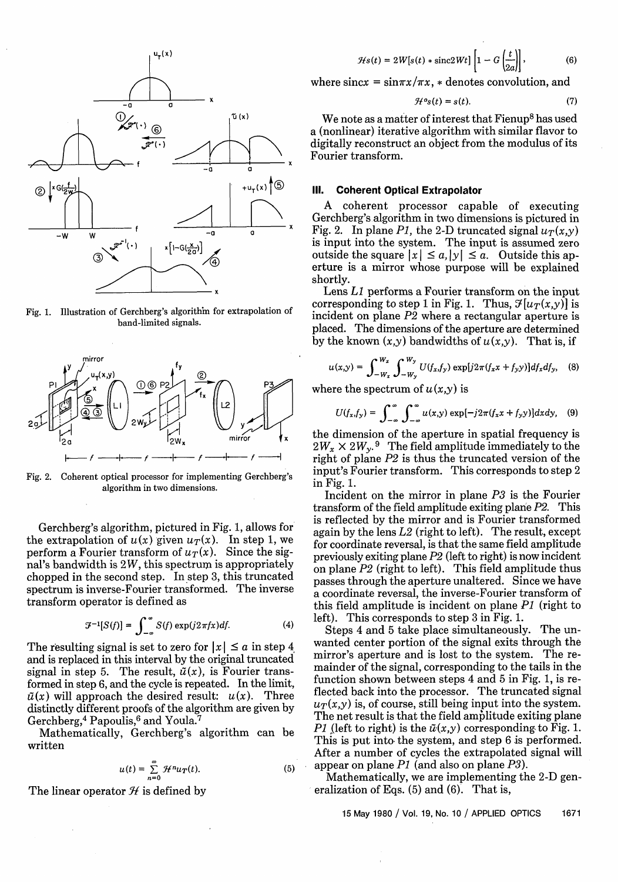

Fig. 1. Illustration of Gerchberg's algorithin for extrapolation of band-limited signals.



Fig. **2.** Coherent optical processor for implementing Gerchberg's algorithm in two dimensions.

Gerchberg's algorithm, pictured in Fig. 1, allows for the extrapolation of  $u(x)$  given  $u_T(x)$ . In step 1, we perform a Fourier transform of  $u_T(x)$ . Since the signal's bandwidth is  $2W$ , this spectrum is appropriately chopped in the second step. In step 3, this truncated spectrum is inverse-Fourier transformed. The inverse transform operator is defined as

$$
\mathcal{F}^{-1}[S(f)] = \int_{-\infty}^{\infty} S(f) \exp(j2\pi fx) df.
$$
 (4)

The resulting signal is set to zero for  $|x| \le a$  in step 4 and is replaced in this interval by the original truncated signal in step 5. The result,  $\tilde{u}(x)$ , is Fourier transformed in step 6, and the cycle is repeated. In the limit,  $\tilde{u}(x)$  will approach the desired result:  $u(x)$ . Three distinctly different proofs of the algorithm are given by Gerchberg,<sup>4</sup> Papoulis, $6$  and Youla.<sup>7</sup>

Mathematically, Gerchberg's algorithm can be written

$$
u(t) = \sum_{n=0}^{\infty} \mathcal{H}^n u_T(t).
$$
 (5)

The linear operator  $\mathcal H$  is defined by

$$
\mathcal{H}s(t) = 2W[s(t) * \operatorname{sinc}2Wt] \left[1 - G\left(\frac{t}{2a}\right)\right],\tag{6}
$$

where  $\arcsin x = \arcsin \pi x / \pi x$ ,  $*$  denotes convolution, and

$$
\mathcal{H}^o s(t) = s(t). \tag{7}
$$

We note as a matter of interest that Fienup<sup>8</sup> has used a (nonlinear) iterative algorithm with similar flavor to digitally reconstruct an object from the modulus of its Fourier transform.

#### **Ill. Coherent Optical Extrapolator**

A coherent processor capable of executing Gerchberg's algorithm in two dimensions is pictured in Fig. 2. In plane P1, the 2-D truncated signal  $u_T(x,y)$  is input into the system. The input is assumed zero outside the square  $|x| \le a$ ,  $|y| \le a$ . Outside this ap-<br>exture is a mirror whose nurmose will be explained is input into the system. The input is assumed zero outside the square  $|x| \le a$ ,  $|y| \le a$ . Outside this aperture is a mirror whose purpose will be explained shortly.

Lens *L1* performs a Fourier transform on the input corresponding to step 1 in Fig. 1. Thus,  $\mathcal{F}[u_T(x,y)]$  is incident on plane P2 where a rectangular aperture is placed. The dimensions of the aperture are determined by the known  $(x,y)$  bandwidths of  $u(x,y)$ . That is, if

$$
u(x,y) = \int_{-W_x}^{W_x} \int_{-W_y}^{W_y} U(f_x, f_y) \exp[j2\pi(f_x x + f_y y)] df_x df_y, \quad (8)
$$

where the spectrum of  $u(x,y)$  is

$$
U(f_x,f_y) = \int_{-\infty}^{\infty} \int_{-\infty}^{\infty} u(x,y) \exp[-j2\pi(f_x x + f_y y)] dx dy, \quad (9)
$$

the dimension of the aperture in spatial frequency is  $2W_x \times 2W_y$ . <sup>9</sup> The field amplitude immediately to the right of plane P2 is thus the truncated version of the input's Fourier transform. This corresponds to step 2 in Fig. 1.

Incident on the mirror in plane P3 is the Fourier transform of the field amplitude exiting plane P2. This is reflected by the mirror and is Fourier transformed again by the lens L2 (right to left). The result, except for coordinate reversal, is that the same field amplitude previously exiting plane P2 (left to right) is now incident on plane P2 (right to left). This field amplitude thus passes through the aperture unaltered. Since we have a coordinate reversal, the inverse-Fourier transform of this field amplitude is incident on plane PI (right to left). This corresponds to step 3 in Fig. 1.

Steps 4 and 5 take place simultaneously. The unwanted center portion of the signal exits through the mirror's aperture and is lost to the system. The remainder of the signal, corresponding to the tails in the function shown between steps 4 and 5 in Fig. 1, is reflected back into the processor. The truncated signal  $u_T(x,y)$  is, of course, still being input into the system. The net result is that the field amplitude exiting plane PI (left to right) is the  $\tilde{u}(x,y)$  corresponding to Fig. 1. This is put into the system, and step 6 is performed. After a number of cycles the extrapolated signal will appear on plane  $P1$  (and also on plane  $P3$ ).

Mathematically, we are implementing the 2-D generalization of Eqs. (5) and (6). That is,

15 May 1980 / Vol. 19, No. 10 / APPLIED OPTICS 1671